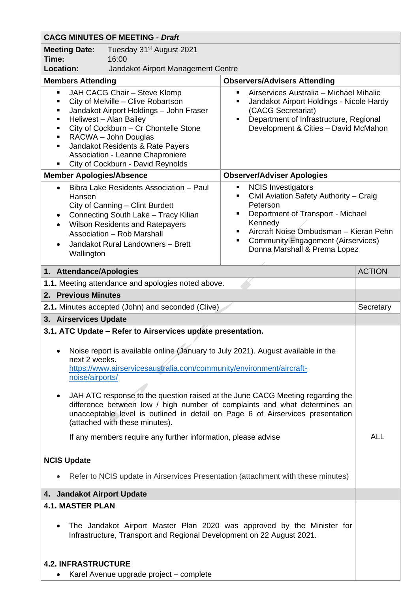| <b>CACG MINUTES OF MEETING - Draft</b>                                                                                                                                                                                                                                                                                                                                                                                                                                                                                                                                                                          |                                               |                                                                                                                                                                                                   |               |  |
|-----------------------------------------------------------------------------------------------------------------------------------------------------------------------------------------------------------------------------------------------------------------------------------------------------------------------------------------------------------------------------------------------------------------------------------------------------------------------------------------------------------------------------------------------------------------------------------------------------------------|-----------------------------------------------|---------------------------------------------------------------------------------------------------------------------------------------------------------------------------------------------------|---------------|--|
| <b>Meeting Date:</b><br>Time:                                                                                                                                                                                                                                                                                                                                                                                                                                                                                                                                                                                   | Tuesday 31 <sup>st</sup> August 2021<br>16:00 |                                                                                                                                                                                                   |               |  |
| <b>Location:</b><br>Jandakot Airport Management Centre<br><b>Members Attending</b><br><b>Observers/Advisers Attending</b>                                                                                                                                                                                                                                                                                                                                                                                                                                                                                       |                                               |                                                                                                                                                                                                   |               |  |
| JAH CACG Chair - Steve Klomp<br>٠<br>City of Melville - Clive Robartson<br>$\blacksquare$<br>Jandakot Airport Holdings - John Fraser<br>Ξ<br>Heliwest - Alan Bailey<br>Ξ<br>City of Cockburn - Cr Chontelle Stone<br>П<br>RACWA - John Douglas<br>Ξ<br>Jandakot Residents & Rate Payers<br>п<br>Association - Leanne Chaproniere<br>City of Cockburn - David Reynolds                                                                                                                                                                                                                                           |                                               | Airservices Australia - Michael Mihalic<br>π.<br>Jandakot Airport Holdings - Nicole Hardy<br>(CACG Secretariat)<br>Department of Infrastructure, Regional<br>Development & Cities - David McMahon |               |  |
| <b>Member Apologies/Absence</b><br><b>Observer/Adviser Apologies</b>                                                                                                                                                                                                                                                                                                                                                                                                                                                                                                                                            |                                               |                                                                                                                                                                                                   |               |  |
| <b>NCIS Investigators</b><br>Bibra Lake Residents Association - Paul<br>п<br>$\bullet$<br>Civil Aviation Safety Authority - Craig<br>Hansen<br>Peterson<br>City of Canning - Clint Burdett<br>Department of Transport - Michael<br>Connecting South Lake - Tracy Kilian<br>$\bullet$<br>Kennedy<br><b>Wilson Residents and Ratepayers</b><br>$\bullet$<br>Aircraft Noise Ombudsman - Kieran Pehn<br>٠<br>Association - Rob Marshall<br><b>Community Engagement (Airservices)</b><br>٠<br>Jandakot Rural Landowners - Brett<br>Donna Marshall & Prema Lopez<br>Wallington                                        |                                               |                                                                                                                                                                                                   |               |  |
| 1. Attendance/Apologies                                                                                                                                                                                                                                                                                                                                                                                                                                                                                                                                                                                         |                                               |                                                                                                                                                                                                   | <b>ACTION</b> |  |
| 1.1. Meeting attendance and apologies noted above.                                                                                                                                                                                                                                                                                                                                                                                                                                                                                                                                                              |                                               |                                                                                                                                                                                                   |               |  |
| 2. Previous Minutes                                                                                                                                                                                                                                                                                                                                                                                                                                                                                                                                                                                             |                                               |                                                                                                                                                                                                   |               |  |
| 2.1. Minutes accepted (John) and seconded (Clive)                                                                                                                                                                                                                                                                                                                                                                                                                                                                                                                                                               |                                               |                                                                                                                                                                                                   | Secretary     |  |
| 3. Airservices Update                                                                                                                                                                                                                                                                                                                                                                                                                                                                                                                                                                                           |                                               |                                                                                                                                                                                                   |               |  |
| 3.1. ATC Update - Refer to Airservices update presentation.<br>Noise report is available online (January to July 2021). August available in the<br>next 2 weeks.<br>https://www.airservicesaustralia.com/community/environment/aircraft-<br>noise/airports/<br>JAH ATC response to the question raised at the June CACG Meeting regarding the<br>difference between low / high number of complaints and what determines an<br>unacceptable level is outlined in detail on Page 6 of Airservices presentation<br>(attached with these minutes).<br>If any members require any further information, please advise |                                               |                                                                                                                                                                                                   | <b>ALL</b>    |  |
| <b>NCIS Update</b>                                                                                                                                                                                                                                                                                                                                                                                                                                                                                                                                                                                              |                                               |                                                                                                                                                                                                   |               |  |
| Refer to NCIS update in Airservices Presentation (attachment with these minutes)                                                                                                                                                                                                                                                                                                                                                                                                                                                                                                                                |                                               |                                                                                                                                                                                                   |               |  |
| 4. Jandakot Airport Update                                                                                                                                                                                                                                                                                                                                                                                                                                                                                                                                                                                      |                                               |                                                                                                                                                                                                   |               |  |
| <b>4.1. MASTER PLAN</b>                                                                                                                                                                                                                                                                                                                                                                                                                                                                                                                                                                                         |                                               |                                                                                                                                                                                                   |               |  |
| The Jandakot Airport Master Plan 2020 was approved by the Minister for<br>Infrastructure, Transport and Regional Development on 22 August 2021.                                                                                                                                                                                                                                                                                                                                                                                                                                                                 |                                               |                                                                                                                                                                                                   |               |  |
| <b>4.2. INFRASTRUCTURE</b>                                                                                                                                                                                                                                                                                                                                                                                                                                                                                                                                                                                      |                                               |                                                                                                                                                                                                   |               |  |
| $\bullet$                                                                                                                                                                                                                                                                                                                                                                                                                                                                                                                                                                                                       | Karel Avenue upgrade project - complete       |                                                                                                                                                                                                   |               |  |